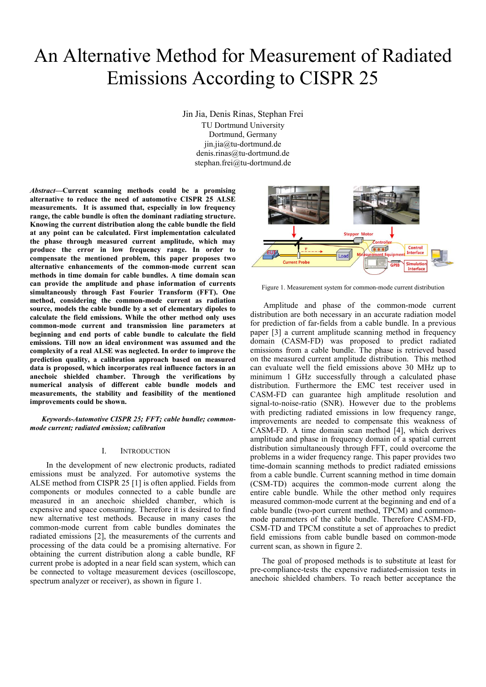# An Alternative Method for Measurement of Radiated Emissions According to CISPR 25

Jin Jia, Denis Rinas, Stephan Frei

TU Dortmund University Dortmund, Germany jin.jia@tu-dortmund.de denis.rinas@tu-dortmund.de stephan.frei@tu-dortmund.de

*Abstract***—Current scanning methods could be a promising alternative to reduce the need of automotive CISPR 25 ALSE measurements. It is assumed that, especially in low frequency range, the cable bundle is often the dominant radiating structure. Knowing the current distribution along the cable bundle the field at any point can be calculated. First implementation calculated the phase through measured current amplitude, which may produce the error in low frequency range. In order to compensate the mentioned problem, this paper proposes two alternative enhancements of the common-mode current scan methods in time domain for cable bundles. A time domain scan can provide the amplitude and phase information of currents simultaneously through Fast Fourier Transform (FFT). One method, considering the common-mode current as radiation source, models the cable bundle by a set of elementary dipoles to calculate the field emissions. While the other method only uses common-mode current and transmission line parameters at beginning and end ports of cable bundle to calculate the field emissions. Till now an ideal environment was assumed and the complexity of a real ALSE was neglected. In order to improve the prediction quality, a calibration approach based on measured data is proposed, which incorporates real influence factors in an anechoic shielded chamber. Through the verifications by numerical analysis of different cable bundle models and measurements, the stability and feasibility of the mentioned improvements could be shown.** 

*Keywords-Automotive CISPR 25; FFT; cable bundle; commonmode current; radiated emission; calibration* 

## I. INTRODUCTION

In the development of new electronic products, radiated emissions must be analyzed. For automotive systems the ALSE method from CISPR 25 [1] is often applied. Fields from components or modules connected to a cable bundle are measured in an anechoic shielded chamber, which is expensive and space consuming. Therefore it is desired to find new alternative test methods. Because in many cases the common-mode current from cable bundles dominates the radiated emissions [2], the measurements of the currents and processing of the data could be a promising alternative. For obtaining the current distribution along a cable bundle, RF current probe is adopted in a near field scan system, which can be connected to voltage measurement devices (oscilloscope, spectrum analyzer or receiver), as shown in figure 1.



Figure 1. Measurement system for common-mode current distribution

 Amplitude and phase of the common-mode current distribution are both necessary in an accurate radiation model for prediction of far-fields from a cable bundle. In a previous paper [3] a current amplitude scanning method in frequency domain (CASM-FD) was proposed to predict radiated emissions from a cable bundle. The phase is retrieved based on the measured current amplitude distribution. This method can evaluate well the field emissions above 30 MHz up to minimum 1 GHz successfully through a calculated phase distribution. Furthermore the EMC test receiver used in CASM-FD can guarantee high amplitude resolution and signal-to-noise-ratio (SNR). However due to the problems with predicting radiated emissions in low frequency range, improvements are needed to compensate this weakness of CASM-FD. A time domain scan method [4], which derives amplitude and phase in frequency domain of a spatial current distribution simultaneously through FFT, could overcome the problems in a wider frequency range. This paper provides two time-domain scanning methods to predict radiated emissions from a cable bundle. Current scanning method in time domain (CSM-TD) acquires the common-mode current along the entire cable bundle. While the other method only requires measured common-mode current at the beginning and end of a cable bundle (two-port current method, TPCM) and commonmode parameters of the cable bundle. Therefore CASM-FD, CSM-TD and TPCM constitute a set of approaches to predict field emissions from cable bundle based on common-mode current scan, as shown in figure 2.

The goal of proposed methods is to substitute at least for pre-compliance-tests the expensive radiated-emission tests in anechoic shielded chambers. To reach better acceptance the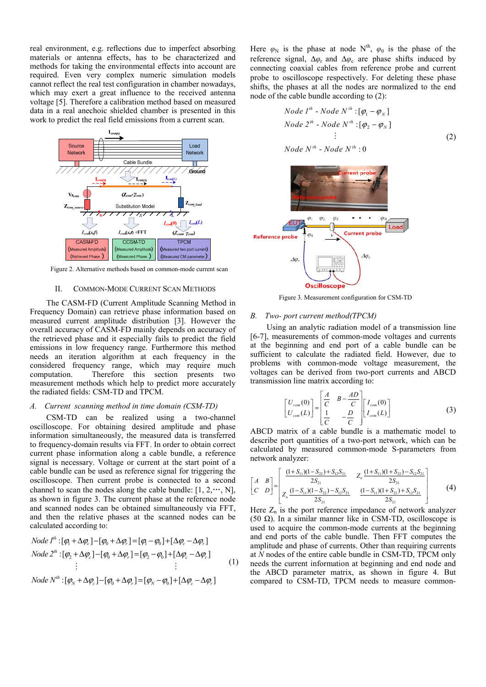real environment, e.g. reflections due to imperfect absorbing materials or antenna effects, has to be characterized and methods for taking the environmental effects into account are required. Even very complex numeric simulation models cannot reflect the real test configuration in chamber nowadays, which may exert a great influence to the received antenna voltage [5]. Therefore a calibration method based on measured data in a real anechoic shielded chamber is presented in this work to predict the real field emissions from a current scan.



Figure 2. Alternative methods based on common-mode current scan

## II. COMMON-MODE CURRENT SCAN METHODS

The CASM-FD (Current Amplitude Scanning Method in Frequency Domain) can retrieve phase information based on measured current amplitude distribution [3]. However the overall accuracy of CASM-FD mainly depends on accuracy of the retrieved phase and it especially fails to predict the field emissions in low frequency range. Furthermore this method needs an iteration algorithm at each frequency in the considered frequency range, which may require much computation. Therefore this section presents two measurement methods which help to predict more accurately the radiated fields: CSM-TD and TPCM.

#### *A. Current scanning method in time domain (CSM-TD)*

CSM-TD can be realized using a two-channel oscilloscope. For obtaining desired amplitude and phase information simultaneously, the measured data is transferred to frequency-domain results via FFT. In order to obtain correct current phase information along a cable bundle, a reference signal is necessary. Voltage or current at the start point of a cable bundle can be used as reference signal for triggering the oscilloscope. Then current probe is connected to a second channel to scan the nodes along the cable bundle:  $[1, 2, \dots, N]$ , as shown in figure 3. The current phase at the reference node and scanned nodes can be obtained simultaneously via FFT, and then the relative phases at the scanned nodes can be calculated according to:

Node 
$$
I^h
$$
:  $[\varphi_1 + \Delta \varphi_c] - [\varphi_0 + \Delta \varphi_r] = [\varphi_1 - \varphi_0] + [\Delta \varphi_c - \Delta \varphi_r]$   
\nNode  $2^h$ :  $[\varphi_2 + \Delta \varphi_c] - [\varphi_0 + \Delta \varphi_r] = [\varphi_2 - \varphi_0] + [\Delta \varphi_c - \Delta \varphi_r]$   
\n $\vdots$  (1)

$$
Node N^{th} : [\varphi_N + \Delta \varphi_c] - [\varphi_0 + \Delta \varphi_r] = [\varphi_N - \varphi_0] + [\Delta \varphi_c - \Delta \varphi_r]
$$

Here  $\varphi_N$  is the phase at node N<sup>th</sup>,  $\varphi_0$  is the phase of the reference signal,  $\Delta \varphi$ <sub>r</sub> and  $\Delta \varphi$ <sub>c</sub> are phase shifts induced by connecting coaxial cables from reference probe and current probe to oscilloscope respectively. For deleting these phase shifts, the phases at all the nodes are normalized to the end node of the cable bundle according to (2):

Node 
$$
I^{th}
$$
 - Node  $N^{th}$  : [ $\varphi_1 - \varphi_N$ ]  
\nNode  $2^{th}$  - Node  $N^{th}$  : [ $\varphi_2 - \varphi_N$ ]  
\n $\vdots$   
\nNode  $N^{th}$  - Node  $N^{th}$  : 0



Figure 3. Measurement configuration for CSM-TD

### *B. Two- port current method(TPCM)*

Using an analytic radiation model of a transmission line [6-7], measurements of common-mode voltages and currents at the beginning and end port of a cable bundle can be sufficient to calculate the radiated field. However, due to problems with common-mode voltage measurement, the voltages can be derived from two-port currents and ABCD transmission line matrix according to:

$$
\begin{bmatrix} U_{com}(0) \\ U_{com}(L) \end{bmatrix} = \begin{bmatrix} \frac{A}{C} & B - \frac{AD}{C} \\ \frac{1}{C} & -\frac{D}{C} \end{bmatrix} \begin{bmatrix} I_{com}(0) \\ I_{com}(L) \end{bmatrix}
$$
(3)

ABCD matrix of a cable bundle is a mathematic model to describe port quantities of a two-port network, which can be calculated by measured common-mode S-parameters from network analyzer:

$$
\begin{bmatrix} A & B \ C & D \end{bmatrix} = \begin{bmatrix} \frac{(1+S_{11})(1-S_{22})+S_{12}S_{21}}{2S_{21}} & Z_n \frac{(1+S_{11})(1+S_{22})-S_{12}S_{21}}{2S_{21}} \\ Z_n \frac{(1-S_{11})(1-S_{22})-S_{12}S_{21}}{2S_{21}} & \frac{(1-S_{11})(1+S_{22})+S_{12}S_{21}}{2S_{21}} \end{bmatrix}
$$
 (4)

Here  $Z_n$  is the port reference impedance of network analyzer (50 Ω). In a similar manner like in CSM-TD, oscilloscope is used to acquire the common-mode currents at the beginning and end ports of the cable bundle. Then FFT computes the amplitude and phase of currents. Other than requiring currents at *N* nodes of the entire cable bundle in CSM-TD, TPCM only needs the current information at beginning and end node and the ABCD parameter matrix, as shown in figure 4. But compared to CSM-TD, TPCM needs to measure common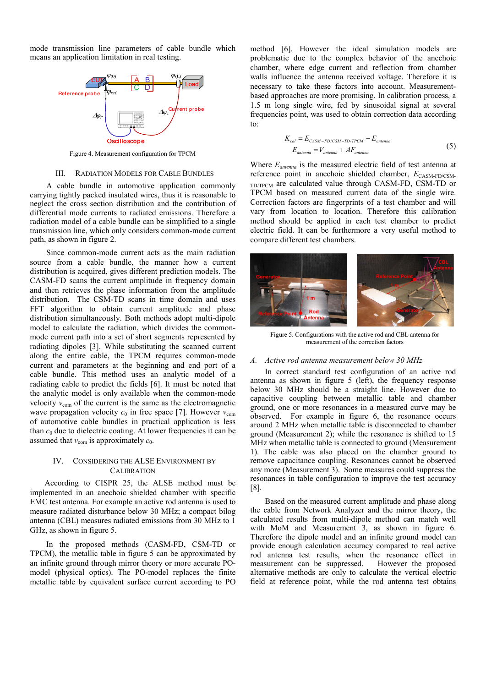mode transmission line parameters of cable bundle which means an application limitation in real testing.



Figure 4. Measurement configuration for TPCM

#### III. RADIATION MODELS FOR CABLE BUNDLES

A cable bundle in automotive application commonly carrying tightly packed insulated wires, thus it is reasonable to neglect the cross section distribution and the contribution of differential mode currents to radiated emissions. Therefore a radiation model of a cable bundle can be simplified to a single transmission line, which only considers common-mode current path, as shown in figure 2.

Since common-mode current acts as the main radiation source from a cable bundle, the manner how a current distribution is acquired, gives different prediction models. The CASM-FD scans the current amplitude in frequency domain and then retrieves the phase information from the amplitude distribution. The CSM-TD scans in time domain and uses FFT algorithm to obtain current amplitude and phase distribution simultaneously. Both methods adopt multi-dipole model to calculate the radiation, which divides the commonmode current path into a set of short segments represented by radiating dipoles [3]. While substituting the scanned current along the entire cable, the TPCM requires common-mode current and parameters at the beginning and end port of a cable bundle. This method uses an analytic model of a radiating cable to predict the fields [6]. It must be noted that the analytic model is only available when the common-mode velocity  $v_{\text{com}}$  of the current is the same as the electromagnetic wave propagation velocity  $c_0$  in free space [7]. However  $v_{com}$ of automotive cable bundles in practical application is less than  $c_0$  due to dielectric coating. At lower frequencies it can be assumed that  $v_{\text{com}}$  is approximately  $c_0$ .

## IV. CONSIDERING THE ALSE ENVIRONMENT BY **CALIBRATION**

According to CISPR 25, the ALSE method must be implemented in an anechoic shielded chamber with specific EMC test antenna. For example an active rod antenna is used to measure radiated disturbance below 30 MHz; a compact bilog antenna (CBL) measures radiated emissions from 30 MHz to 1 GHz, as shown in figure 5.

In the proposed methods (CASM-FD, CSM-TD or TPCM), the metallic table in figure 5 can be approximated by an infinite ground through mirror theory or more accurate POmodel (physical optics). The PO-model replaces the finite metallic table by equivalent surface current according to PO

method [6]. However the ideal simulation models are problematic due to the complex behavior of the anechoic chamber, where edge current and reflection from chamber walls influence the antenna received voltage. Therefore it is necessary to take these factors into account. Measurementbased approaches are more promising. In calibration process, a 1.5 m long single wire, fed by sinusoidal signal at several frequencies point, was used to obtain correction data according to:

$$
K_{cal} = E_{CASM-FD/CSM-TD/TPCM} - E_{antenna}
$$
  

$$
E_{antenna} = V_{antenna} + AF_{antenna}
$$
 (5)

Where  $E_{antenna}$  is the measured electric field of test antenna at reference point in anechoic shielded chamber,  $E_{\text{CASM-FD/CSM-}}$ TD/TPCM are calculated value through CASM-FD, CSM-TD or TPCM based on measured current data of the single wire. Correction factors are fingerprints of a test chamber and will vary from location to location. Therefore this calibration method should be applied in each test chamber to predict electric field. It can be furthermore a very useful method to compare different test chambers.



Figure 5. Configurations with the active rod and CBL antenna for measurement of the correction factors

#### *A. Active rod antenna measurement below 30 MHz*

In correct standard test configuration of an active rod antenna as shown in figure 5 (left), the frequency response below 30 MHz should be a straight line. However due to capacitive coupling between metallic table and chamber ground, one or more resonances in a measured curve may be observed. For example in figure 6, the resonance occurs around 2 MHz when metallic table is disconnected to chamber ground (Measurement 2); while the resonance is shifted to 15 MHz when metallic table is connected to ground (Measurement 1). The cable was also placed on the chamber ground to remove capacitance coupling. Resonances cannot be observed any more (Measurement 3). Some measures could suppress the resonances in table configuration to improve the test accuracy [8].

Based on the measured current amplitude and phase along the cable from Network Analyzer and the mirror theory, the calculated results from multi-dipole method can match well with MoM and Measurement 3, as shown in figure 6. Therefore the dipole model and an infinite ground model can provide enough calculation accuracy compared to real active rod antenna test results, when the resonance effect in measurement can be suppressed. However the proposed alternative methods are only to calculate the vertical electric field at reference point, while the rod antenna test obtains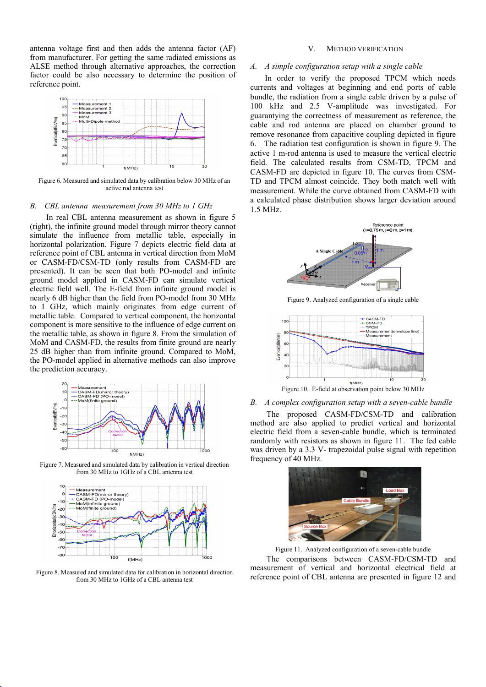antenna voltage first and then adds the antenna factor (AF) from manufacturer. For getting the same radiated emissions as ALSE method through alternative approaches, the correction factor could be also necessary to determine the position of reference point.



Figure 6. Measured and simulated data by calibration below 30 MHz of an active rod antenna test

### *B. CBL antenna measurement from 30 MHz to 1 GHz*

In real CBL antenna measurement as shown in figure 5 (right), the infinite ground model through mirror theory cannot simulate the influence from metallic table, especially in horizontal polarization. Figure 7 depicts electric field data at reference point of CBL antenna in vertical direction from MoM or CASM-FD/CSM-TD (only results from CASM-FD are presented). It can be seen that both PO-model and infinite ground model applied in CASM-FD can simulate vertical electric field well. The E-field from infinite ground model is nearly 6 dB higher than the field from PO-model from 30 MHz to 1 GHz, which mainly originates from edge current of metallic table. Compared to vertical component, the horizontal component is more sensitive to the influence of edge current on the metallic table, as shown in figure 8. From the simulation of MoM and CASM-FD, the results from finite ground are nearly 25 dB higher than from infinite ground. Compared to MoM, the PO-model applied in alternative methods can also improve the prediction accuracy.



Figure 7. Measured and simulated data by calibration in vertical direction from 30 MHz to 1GHz of a CBL antenna test



Figure 8. Measured and simulated data for calibration in horizontal direction from 30 MHz to 1GHz of a CBL antenna test

## V. METHOD VERIFICATION

## *A. A simple configuration setup with a single cable*

In order to verify the proposed TPCM which needs currents and voltages at beginning and end ports of cable bundle, the radiation from a single cable driven by a pulse of 100 kHz and 2.5 V-amplitude was investigated. For guarantying the correctness of measurement as reference, the cable and rod antenna are placed on chamber ground to remove resonance from capacitive coupling depicted in figure 6. The radiation test configuration is shown in figure 9. The active 1 m-rod antenna is used to measure the vertical electric field. The calculated results from CSM-TD, TPCM and CASM-FD are depicted in figure 10. The curves from CSM-TD and TPCM almost coincide. They both match well with measurement. While the curve obtained from CASM-FD with a calculated phase distribution shows larger deviation around 1.5 MHz.



Figure 9. Analyzed configuration of a single cable



Figure 10. E-field at observation point below 30 MHz

*B. A complex configuration setup with a seven-cable bundle* 

The proposed CASM-FD/CSM-TD and calibration method are also applied to predict vertical and horizontal electric field from a seven-cable bundle, which is terminated randomly with resistors as shown in figure 11. The fed cable was driven by a 3.3 V- trapezoidal pulse signal with repetition frequency of 40 MHz.



Figure 11. Analyzed configuration of a seven-cable bundle

The comparisons between CASM-FD/CSM-TD and measurement of vertical and horizontal electrical field at reference point of CBL antenna are presented in figure 12 and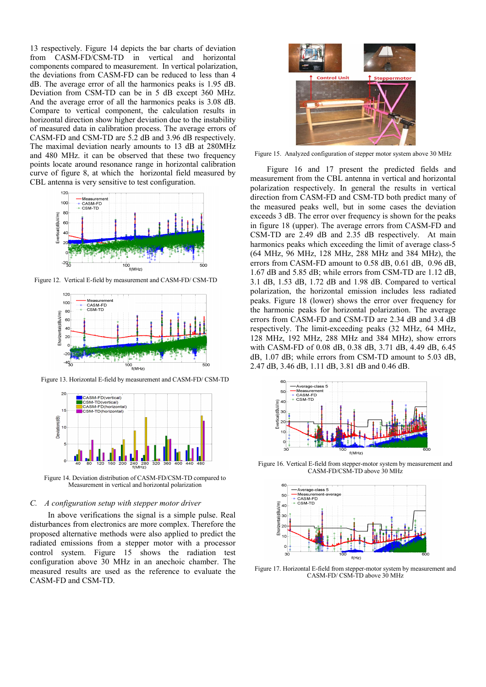13 respectively. Figure 14 depicts the bar charts of deviation from CASM-FD/CSM-TD in vertical and horizontal components compared to measurement. In vertical polarization, the deviations from CASM-FD can be reduced to less than 4 dB. The average error of all the harmonics peaks is 1.95 dB. Deviation from CSM-TD can be in 5 dB except 360 MHz. And the average error of all the harmonics peaks is 3.08 dB. Compare to vertical component, the calculation results in horizontal direction show higher deviation due to the instability of measured data in calibration process. The average errors of CASM-FD and CSM-TD are 5.2 dB and 3.96 dB respectively. The maximal deviation nearly amounts to 13 dB at 280MHz and 480 MHz. it can be observed that these two frequency points locate around resonance range in horizontal calibration curve of figure 8, at which the horizontal field measured by CBL antenna is very sensitive to test configuration.



Figure 12. Vertical E-field by measurement and CASM-FD/ CSM-TD



Figure 13. Horizontal E-field by measurement and CASM-FD/ CSM-TD



Figure 14. Deviation distribution of CASM-FD/CSM-TD compared to Measurement in vertical and horizontal polarization

## *C. A configuration setup with stepper motor driver*

In above verifications the signal is a simple pulse. Real disturbances from electronics are more complex. Therefore the proposed alternative methods were also applied to predict the radiated emissions from a stepper motor with a processor control system. Figure 15 shows the radiation test configuration above 30 MHz in an anechoic chamber. The measured results are used as the reference to evaluate the CASM-FD and CSM-TD.



Figure 15. Analyzed configuration of stepper motor system above 30 MHz

 Figure 16 and 17 present the predicted fields and measurement from the CBL antenna in vertical and horizontal polarization respectively. In general the results in vertical direction from CASM-FD and CSM-TD both predict many of the measured peaks well, but in some cases the deviation exceeds 3 dB. The error over frequency is shown for the peaks in figure 18 (upper). The average errors from CASM-FD and CSM-TD are 2.49 dB and 2.35 dB respectively. At main harmonics peaks which exceeding the limit of average class-5 (64 MHz, 96 MHz, 128 MHz, 288 MHz and 384 MHz), the errors from CASM-FD amount to 0.58 dB, 0.61 dB, 0.96 dB, 1.67 dB and 5.85 dB; while errors from CSM-TD are 1.12 dB, 3.1 dB, 1.53 dB, 1.72 dB and 1.98 dB. Compared to vertical polarization, the horizontal emission includes less radiated peaks. Figure 18 (lower) shows the error over frequency for the harmonic peaks for horizontal polarization. The average errors from CASM-FD and CSM-TD are 2.34 dB and 3.4 dB respectively. The limit-exceeding peaks (32 MHz, 64 MHz, 128 MHz, 192 MHz, 288 MHz and 384 MHz), show errors with CASM-FD of 0.08 dB, 0.38 dB, 3.71 dB, 4.49 dB, 6.45 dB, 1.07 dB; while errors from CSM-TD amount to 5.03 dB, 2.47 dB, 3.46 dB, 1.11 dB, 3.81 dB and 0.46 dB.



Figure 16. Vertical E-field from stepper-motor system by measurement and CASM-FD/CSM-TD above 30 MHz



Figure 17. Horizontal E-field from stepper-motor system by measurement and CASM-FD/ CSM-TD above 30 MHz